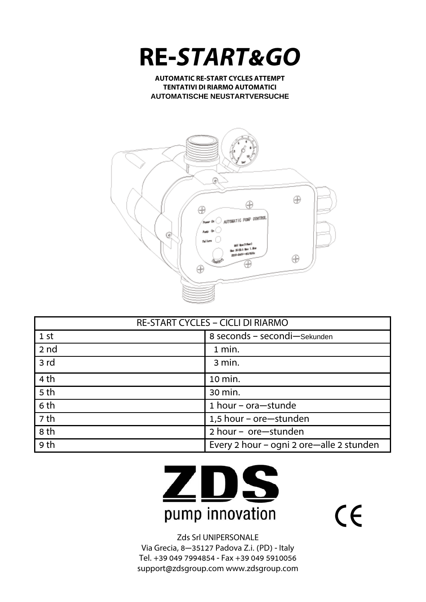

**AUTOMATIC RE-START CYCLES ATTEMPT TENTATIVI DI RIARMO AUTOMATICI AUTOMATISCHE NEUSTARTVERSUCHE**



| <b>RE-START CYCLES - CICLI DI RIARMO</b> |                                          |  |
|------------------------------------------|------------------------------------------|--|
| 1st                                      | 8 seconds - secondi-Sekunden             |  |
| 2 nd                                     | 1 min.                                   |  |
| 3rd                                      | 3 min.                                   |  |
| 4 <sub>th</sub>                          | 10 min.                                  |  |
| 5 <sub>th</sub>                          | 30 min.                                  |  |
| 6 th                                     | 1 hour - ora-stunde                      |  |
| 7 th                                     | 1,5 hour - ore-stunden                   |  |
| 8 th                                     | 2 hour - ore-stunden                     |  |
| 9 th                                     | Every 2 hour - ogni 2 ore-alle 2 stunden |  |



 $C<sub>f</sub>$ 

Zds Srl UNIPERSONALE Via Grecia, 8—35127 Padova Z.i. (PD) - Italy Tel. +39 049 7994854 - Fax +39 049 5910056 support@zdsgroup.com www.zdsgroup.com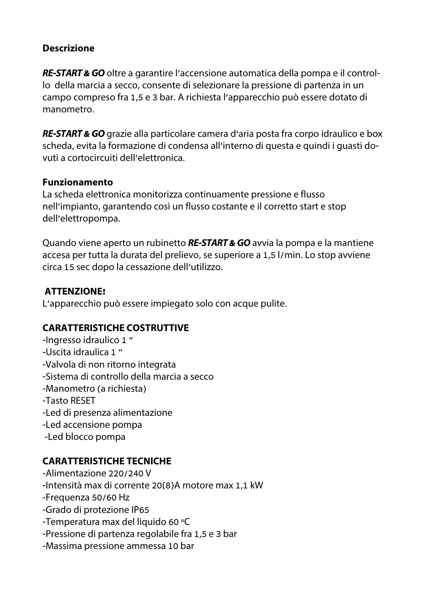#### **Descrizione**

**RE-START & GO** oltre a garantire l'accensione automatica della pompa e il controllo della marcia a secco, consente di selezionare la pressione di partenza in un campo compreso fra 1,5 e 3 bar. A richiesta l'apparecchio può essere dotato di manometro.

**RE-START & GO** grazie alla particolare camera d'aria posta fra corpo idraulico e box scheda, evita la formazione di condensa all'interno di questa e quindi i guasti dovuti a cortocircuiti dell'elettronica.

#### **Funzionamento**

La scheda elettronica monitorizza continuamente pressione e flusso nell'impianto, garantendo così un flusso costante e il corretto start e stop dell'elettropompa.

Quando viene aperto un rubinetto **RE-START & GO** avvia la pompa e la mantiene accesa per tutta la durata del prelievo, se superiore a 1,5 l/min. Lo stop avviene circa 15 sec dopo la cessazione dell'utilizzo.

#### **ATTENZIONE!**

L'apparecchio può essere impiegato solo con acque pulite.

### **CARATTERISTICHE COSTRUTTIVE**

-Ingresso idraulico 1 " -Uscita idraulica 1 " -Valvola di non ritorno integrata -Sistema di controllo della marcia a secco -Manometro (a richiesta) -Tasto RESET -Led di presenza alimentazione -Led accensione pompa -Led blocco pompa

# **CARATTERISTICHE TECNICHE**

-Alimentazione 220/240 V -Intensità max di corrente 20(8)A motore max 1,1 kW -Frequenza 50/60 Hz -Grado di protezione IP65 -Temperatura max del liquido 60 °C -Pressione di partenza regolabile fra 1,5 e 3 bar -Massima pressione ammessa 10 bar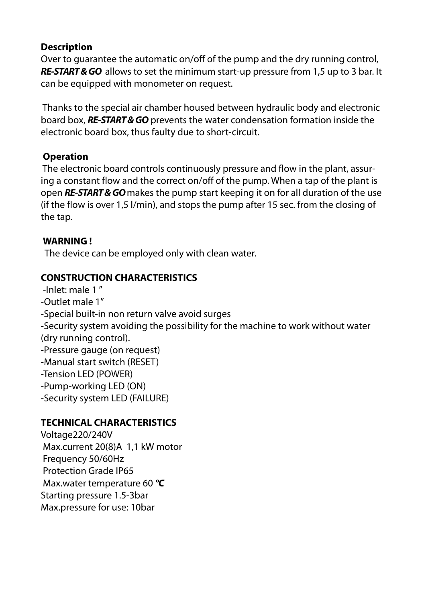### **Description**

Over to guarantee the automatic on/off of the pump and the dry running control, **RE-START & GO** allows to set the minimum start-up pressure from 1,5 up to 3 bar. It can be equipped with monometer on request.

 Thanks to the special air chamber housed between hydraulic body and electronic board box, **RE-START & GO** prevents the water condensation formation inside the electronic board box, thus faulty due to short-circuit.

### **Operation**

 The electronic board controls continuously pressure and flow in the plant, assuring a constant flow and the correct on/off of the pump. When a tap of the plant is open **RE-START & GO** makes the pump start keeping it on for all duration of the use (if the flow is over 1,5 l/min), and stops the pump after 15 sec. from the closing of the tap.

#### **WARNING !**

The device can be employed only with clean water.

# **CONSTRUCTION CHARACTERISTICS**

 -Inlet: male 1 " -Outlet male 1" -Special built-in non return valve avoid surges -Security system avoiding the possibility for the machine to work without water (dry running control). -Pressure gauge (on request) -Manual start switch (RESET) -Tension LED (POWER) -Pump-working LED (ON) -Security system LED (FAILURE)

# **TECHNICAL CHARACTERISTICS**

Voltage220/240V Max.current 20(8)A 1,1 kW motor Frequency 50/60Hz Protection Grade IP65 Max.water temperature 60 **°C**  Starting pressure 1.5-3bar Max.pressure for use: 10bar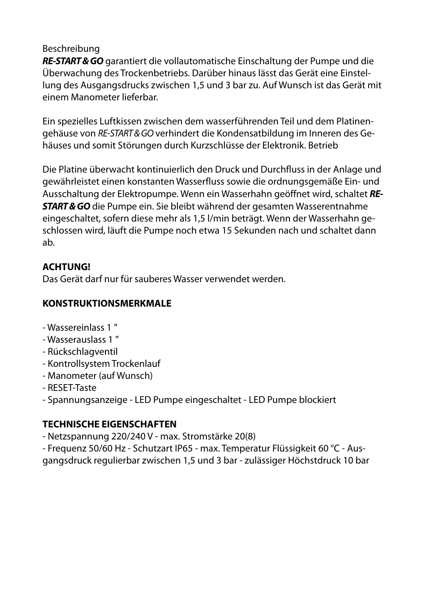#### Beschreibung

**RE-START & GO** garantiert die vollautomatische Einschaltung der Pumpe und die Überwachung des Trockenbetriebs. Darüber hinaus lässt das Gerät eine Einstellung des Ausgangsdrucks zwischen 1,5 und 3 bar zu. Auf Wunsch ist das Gerät mit einem Manometer lieferbar.

Ein spezielles Luftkissen zwischen dem wasserführenden Teil und dem Platinengehäuse von RE-START & GO verhindert die Kondensatbildung im Inneren des Gehäuses und somit Störungen durch Kurzschlüsse der Elektronik. Betrieb

Die Platine überwacht kontinuierlich den Druck und Durchfluss in der Anlage und gewährleistet einen konstanten Wasserfluss sowie die ordnungsgemäße Ein- und Ausschaltung der Elektropumpe. Wenn ein Wasserhahn geöffnet wird, schaltet **RE-START & GO** die Pumpe ein. Sie bleibt während der gesamten Wasserentnahme eingeschaltet, sofern diese mehr als 1,5 l/min beträgt. Wenn der Wasserhahn geschlossen wird, läuft die Pumpe noch etwa 15 Sekunden nach und schaltet dann ab.

#### **ACHTUNG!**

Das Gerät darf nur für sauberes Wasser verwendet werden.

#### **KONSTRUKTIONSMERKMALE**

- Wassereinlass 1 "
- Wasserauslass 1 "
- Rückschlagventil
- Kontrollsystem Trockenlauf
- Manometer (auf Wunsch)
- RESET-Taste
- Spannungsanzeige LED Pumpe eingeschaltet LED Pumpe blockiert

### **TECHNISCHE EIGENSCHAFTEN**

- Netzspannung 220/240 V max. Stromstärke 20(8)
- Frequenz 50/60 Hz Schutzart IP65 max. Temperatur Flüssigkeit 60 °C Ausgangsdruck regulierbar zwischen 1,5 und 3 bar - zulässiger Höchstdruck 10 bar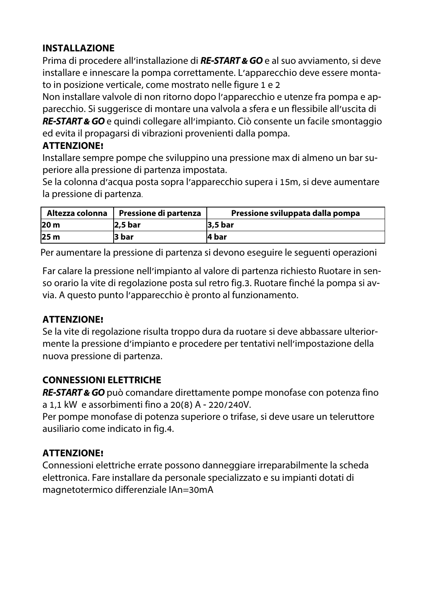# **INSTALLAZIONE**

Prima di procedere all'installazione di **RE-START & GO** e al suo avviamento, si deve installare e innescare la pompa correttamente. L'apparecchio deve essere montato in posizione verticale, come mostrato nelle figure 1 e 2

Non installare valvole di non ritorno dopo l'apparecchio e utenze fra pompa e apparecchio. Si suggerisce di montare una valvola a sfera e un flessibile all'uscita di **RE-START & GO** e quindi collegare all'impianto. Ciò consente un facile smontaggio ed evita il propagarsi di vibrazioni provenienti dalla pompa.

# **ATTENZIONE!**

Installare sempre pompe che sviluppino una pressione max di almeno un bar superiore alla pressione di partenza impostata.

Se la colonna d'acqua posta sopra l'apparecchio supera i 15m, si deve aumentare la pressione di partenza.

| Altezza colonna | Pressione di partenza | Pressione sviluppata dalla pompa |
|-----------------|-----------------------|----------------------------------|
| 20 m            | $2,5$ bar             | $3,5$ bar                        |
| 25 <sub>m</sub> | 3 bar                 | l4 bar                           |

Per aumentare la pressione di partenza si devono eseguire le seguenti operazioni

Far calare la pressione nell'impianto al valore di partenza richiesto Ruotare in senso orario la vite di regolazione posta sul retro fig.3. Ruotare finché la pompa si avvia. A questo punto l'apparecchio è pronto al funzionamento.

# **ATTENZIONE!**

Se la vite di regolazione risulta troppo dura da ruotare si deve abbassare ulteriormente la pressione d'impianto e procedere per tentativi nell'impostazione della nuova pressione di partenza.

# **CONNESSIONI ELETTRICHE**

**RE-START & GO** può comandare direttamente pompe monofase con potenza fino a 1,1 kW e assorbimenti fino a 20(8) A - 220/240V.

Per pompe monofase di potenza superiore o trifase, si deve usare un teleruttore ausiliario come indicato in fig.4.

# **ATTENZIONE!**

Connessioni elettriche errate possono danneggiare irreparabilmente la scheda elettronica. Fare installare da personale specializzato e su impianti dotati di magnetotermico differenziale IAn=30mA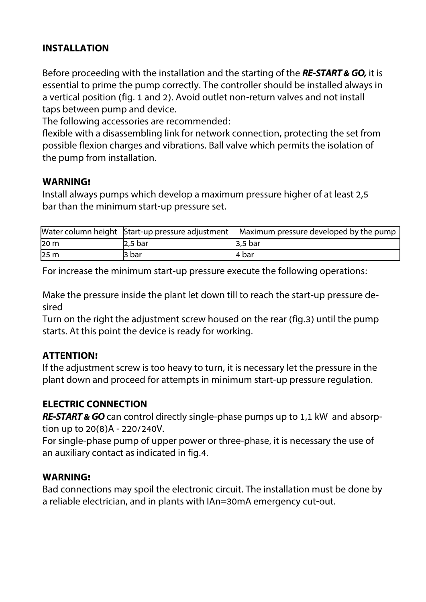### **INSTALLATION**

Before proceeding with the installation and the starting of the **RE-START & GO,** it is essential to prime the pump correctly. The controller should be installed always in a vertical position (fig. 1 and 2). Avoid outlet non-return valves and not install taps between pump and device.

The following accessories are recommended:

flexible with a disassembling link for network connection, protecting the set from possible flexion charges and vibrations. Ball valve which permits the isolation of the pump from installation.

#### **WARNING!**

Install always pumps which develop a maximum pressure higher of at least 2,5 bar than the minimum start-up pressure set.

|                 | Water column height Start-up pressure adjustment ' | Maximum pressure developed by the pump |
|-----------------|----------------------------------------------------|----------------------------------------|
| 20 <sub>m</sub> | 2,5 bar                                            | $3,5$ bar                              |
| 25 <sub>m</sub> | l3 bar                                             | l4 bar                                 |

For increase the minimum start-up pressure execute the following operations:

Make the pressure inside the plant let down till to reach the start-up pressure desired

Turn on the right the adjustment screw housed on the rear (fig.3) until the pump starts. At this point the device is ready for working.

### **ATTENTION!**

If the adjustment screw is too heavy to turn, it is necessary let the pressure in the plant down and proceed for attempts in minimum start-up pressure regulation.

### **ELECTRIC CONNECTION**

**RE-START & GO** can control directly single-phase pumps up to 1,1 kW and absorption up to 20(8)A - 220/240V.

For single-phase pump of upper power or three-phase, it is necessary the use of an auxiliary contact as indicated in fig.4.

#### **WARNING!**

Bad connections may spoil the electronic circuit. The installation must be done by a reliable electrician, and in plants with IAn=30mA emergency cut-out.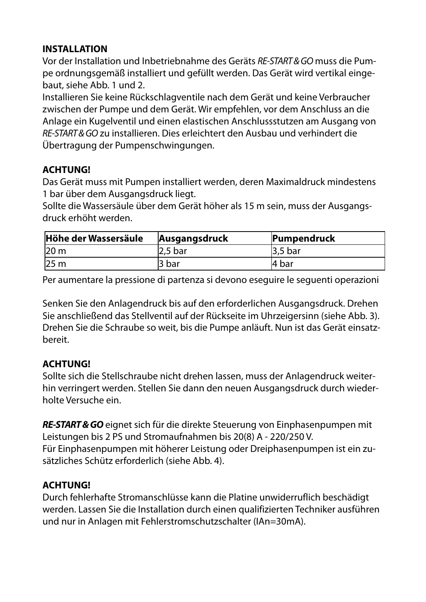### **INSTALLATION**

Vor der Installation und Inbetriebnahme des Geräts RE-START & GO muss die Pumpe ordnungsgemäß installiert und gefüllt werden. Das Gerät wird vertikal eingebaut, siehe Abb. 1 und 2.

Installieren Sie keine Rückschlagventile nach dem Gerät und keine Verbraucher zwischen der Pumpe und dem Gerät. Wir empfehlen, vor dem Anschluss an die Anlage ein Kugelventil und einen elastischen Anschlussstutzen am Ausgang von RE-START & GO zu installieren. Dies erleichtert den Ausbau und verhindert die Übertragung der Pumpenschwingungen.

# **ACHTUNG!**

Das Gerät muss mit Pumpen installiert werden, deren Maximaldruck mindestens 1 bar über dem Ausgangsdruck liegt.

Sollte die Wassersäule über dem Gerät höher als 15 m sein, muss der Ausgangsdruck erhöht werden.

| Höhe der Wassersäule | Ausgangsdruck | Pumpendruck |
|----------------------|---------------|-------------|
| 120 <sub>m</sub>     | $2.5$ bar     | $3,5$ bar   |
| 25 <sub>m</sub>      | 3 bar         | 14 bar      |

Per aumentare la pressione di partenza si devono eseguire le seguenti operazioni

Senken Sie den Anlagendruck bis auf den erforderlichen Ausgangsdruck. Drehen Sie anschließend das Stellventil auf der Rückseite im Uhrzeigersinn (siehe Abb. 3). Drehen Sie die Schraube so weit, bis die Pumpe anläuft. Nun ist das Gerät einsatzbereit.

### **ACHTUNG!**

Sollte sich die Stellschraube nicht drehen lassen, muss der Anlagendruck weiterhin verringert werden. Stellen Sie dann den neuen Ausgangsdruck durch wiederholte Versuche ein.

**RE-START & GO** eignet sich für die direkte Steuerung von Einphasenpumpen mit Leistungen bis 2 PS und Stromaufnahmen bis 20(8) A - 220/250 V. Für Einphasenpumpen mit höherer Leistung oder Dreiphasenpumpen ist ein zusätzliches Schütz erforderlich (siehe Abb. 4).

### **ACHTUNG!**

Durch fehlerhafte Stromanschlüsse kann die Platine unwiderruflich beschädigt werden. Lassen Sie die Installation durch einen qualifizierten Techniker ausführen und nur in Anlagen mit Fehlerstromschutzschalter (IAn=30mA).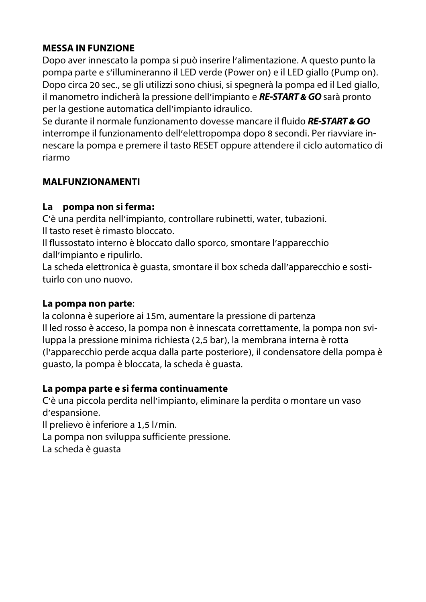# **MESSA IN FUNZIONE**

Dopo aver innescato la pompa si può inserire l'alimentazione. A questo punto la pompa parte e s'illumineranno il LED verde (Power on) e il LED giallo (Pump on). Dopo circa 20 sec., se gli utilizzi sono chiusi, si spegnerà la pompa ed il Led giallo, il manometro indicherà la pressione dell'impianto e **RE-START & GO** sarà pronto per la gestione automatica dell'impianto idraulico.

Se durante il normale funzionamento dovesse mancare il fluido **RE-START & GO**  interrompe il funzionamento dell'elettropompa dopo 8 secondi. Per riavviare innescare la pompa e premere il tasto RESET oppure attendere il ciclo automatico di riarmo

# **MALFUNZIONAMENTI**

### **La pompa non si ferma:**

C'è una perdita nell'impianto, controllare rubinetti, water, tubazioni. Il tasto reset è rimasto bloccato.

Il flussostato interno è bloccato dallo sporco, smontare l'apparecchio dall'impianto e ripulirlo.

La scheda elettronica è guasta, smontare il box scheda dall'apparecchio e sostituirlo con uno nuovo.

### **La pompa non parte**:

la colonna è superiore ai 15m, aumentare la pressione di partenza Il led rosso è acceso, la pompa non è innescata correttamente, la pompa non sviluppa la pressione minima richiesta (2,5 bar), la membrana interna è rotta (l'apparecchio perde acqua dalla parte posteriore), il condensatore della pompa è guasto, la pompa è bloccata, la scheda è guasta.

### **La pompa parte e si ferma continuamente**

C'è una piccola perdita nell'impianto, eliminare la perdita o montare un vaso d'espansione.

Il prelievo è inferiore a 1,5 l/min.

La pompa non sviluppa sufficiente pressione.

La scheda è guasta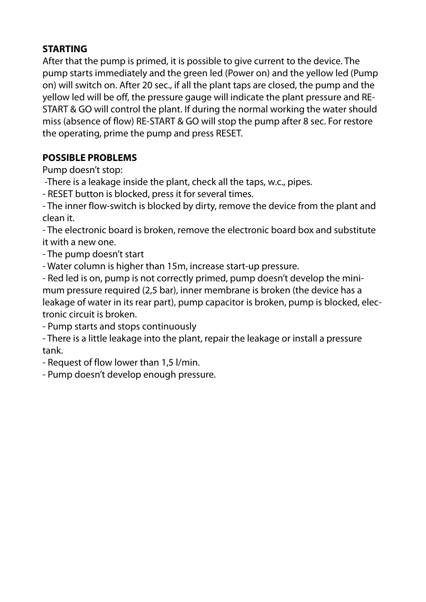## **STARTING**

After that the pump is primed, it is possible to give current to the device. The pump starts immediately and the green led (Power on) and the yellow led (Pump on) will switch on. After 20 sec., if all the plant taps are closed, the pump and the yellow led will be off, the pressure gauge will indicate the plant pressure and RE-START & GO will control the plant. If during the normal working the water should miss (absence of flow) RE-START & GO will stop the pump after 8 sec. For restore the operating, prime the pump and press RESET.

# **POSSIBLE PROBLEMS**

Pump doesn't stop:

-There is a leakage inside the plant, check all the taps, w.c., pipes.

- RESET button is blocked, press it for several times.

- The inner flow-switch is blocked by dirty, remove the device from the plant and clean it.

- The electronic board is broken, remove the electronic board box and substitute it with a new one.

- The pump doesn't start

- Water column is higher than 15m, increase start-up pressure.

- Red led is on, pump is not correctly primed, pump doesn't develop the minimum pressure required (2,5 bar), inner membrane is broken (the device has a leakage of water in its rear part), pump capacitor is broken, pump is blocked, electronic circuit is broken.

- Pump starts and stops continuously

- There is a little leakage into the plant, repair the leakage or install a pressure tank.

- Request of flow lower than 1,5 l/min.

- Pump doesn't develop enough pressure.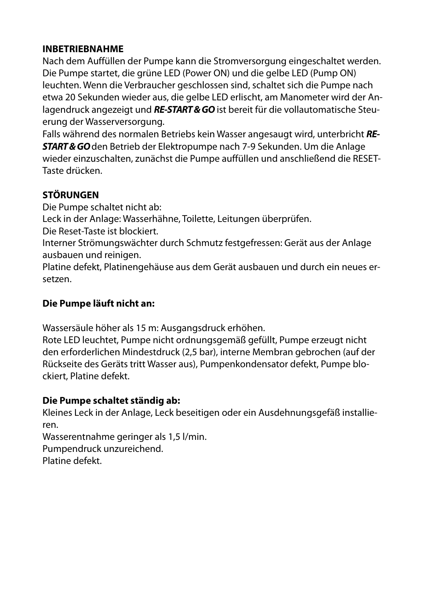#### **INBETRIEBNAHME**

Nach dem Auffüllen der Pumpe kann die Stromversorgung eingeschaltet werden. Die Pumpe startet, die grüne LED (Power ON) und die gelbe LED (Pump ON) leuchten. Wenn die Verbraucher geschlossen sind, schaltet sich die Pumpe nach etwa 20 Sekunden wieder aus, die gelbe LED erlischt, am Manometer wird der Anlagendruck angezeigt und **RE-START & GO** ist bereit für die vollautomatische Steuerung der Wasserversorgung.

Falls während des normalen Betriebs kein Wasser angesaugt wird, unterbricht **RE-START & GO** den Betrieb der Elektropumpe nach 7-9 Sekunden. Um die Anlage wieder einzuschalten, zunächst die Pumpe auffüllen und anschließend die RESET-Taste drücken.

# **STÖRUNGEN**

Die Pumpe schaltet nicht ab:

Leck in der Anlage: Wasserhähne, Toilette, Leitungen überprüfen.

Die Reset-Taste ist blockiert.

Interner Strömungswächter durch Schmutz festgefressen: Gerät aus der Anlage ausbauen und reinigen.

Platine defekt, Platinengehäuse aus dem Gerät ausbauen und durch ein neues ersetzen.

### **Die Pumpe läuft nicht an:**

Wassersäule höher als 15 m: Ausgangsdruck erhöhen.

Rote LED leuchtet, Pumpe nicht ordnungsgemäß gefüllt, Pumpe erzeugt nicht den erforderlichen Mindestdruck (2,5 bar), interne Membran gebrochen (auf der Rückseite des Geräts tritt Wasser aus), Pumpenkondensator defekt, Pumpe blockiert, Platine defekt.

### **Die Pumpe schaltet ständig ab:**

Kleines Leck in der Anlage, Leck beseitigen oder ein Ausdehnungsgefäß installieren.

Wasserentnahme geringer als 1,5 l/min. Pumpendruck unzureichend. Platine defekt.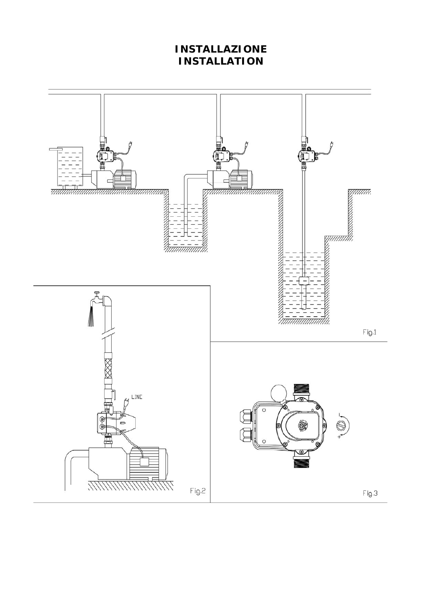# **INSTALLAZIONE INSTALLATION**